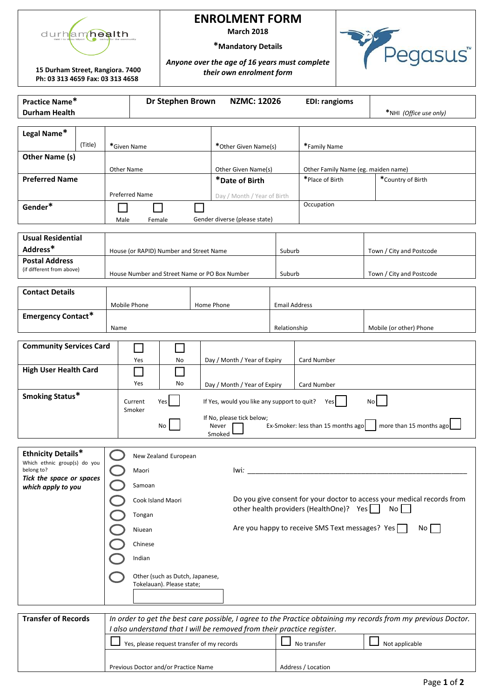

### **ENROLMENT FORM**

**March 2018**

**\*Mandatory Details** *Anyone over the age of 16 years must complete* 

*their own enrolment form*

**15 Durham Street, Rangiora. 7400 Ph: 03 313 4659 Fax: 03 313 4658** 

egasus<sup>"</sup>

| Practice Name*<br><b>Durham Health</b>                     |         |                                                                                              | Dr Stephen Brown<br><b>NZMC: 12026</b>    |                                         |  |                                                                      | <b>EDI: rangioms</b>                                          | *NHI (Office use only)                                 |                                                                                                               |
|------------------------------------------------------------|---------|----------------------------------------------------------------------------------------------|-------------------------------------------|-----------------------------------------|--|----------------------------------------------------------------------|---------------------------------------------------------------|--------------------------------------------------------|---------------------------------------------------------------------------------------------------------------|
| Legal Name*                                                |         |                                                                                              |                                           |                                         |  |                                                                      |                                                               |                                                        |                                                                                                               |
|                                                            | (Title) | *Given Name                                                                                  |                                           |                                         |  | *Other Given Name(s)                                                 |                                                               |                                                        |                                                                                                               |
| Other Name (s)                                             |         |                                                                                              |                                           |                                         |  |                                                                      |                                                               |                                                        |                                                                                                               |
| <b>Preferred Name</b>                                      |         | Other Name                                                                                   |                                           |                                         |  | Other Given Name(s)                                                  |                                                               | Other Family Name (eg. maiden name)<br>*Place of Birth | *Country of Birth                                                                                             |
|                                                            |         | Preferred Name                                                                               |                                           |                                         |  | *Date of Birth                                                       |                                                               |                                                        |                                                                                                               |
| Gender*                                                    |         |                                                                                              |                                           |                                         |  | Day / Month / Year of Birth                                          |                                                               | Occupation                                             |                                                                                                               |
|                                                            |         | Male                                                                                         | Gender diverse (please state)<br>Female   |                                         |  |                                                                      |                                                               |                                                        |                                                                                                               |
| <b>Usual Residential</b>                                   |         |                                                                                              |                                           |                                         |  |                                                                      |                                                               |                                                        |                                                                                                               |
| Address*                                                   |         |                                                                                              |                                           | House (or RAPID) Number and Street Name |  |                                                                      | Suburb                                                        |                                                        | Town / City and Postcode                                                                                      |
| <b>Postal Address</b><br>(if different from above)         |         |                                                                                              |                                           |                                         |  |                                                                      |                                                               |                                                        |                                                                                                               |
|                                                            |         | House Number and Street Name or PO Box Number                                                |                                           |                                         |  | Suburb                                                               |                                                               | Town / City and Postcode                               |                                                                                                               |
| <b>Contact Details</b>                                     |         |                                                                                              |                                           |                                         |  |                                                                      |                                                               |                                                        |                                                                                                               |
|                                                            |         | Mobile Phone                                                                                 | Home Phone<br><b>Email Address</b>        |                                         |  |                                                                      |                                                               |                                                        |                                                                                                               |
| <b>Emergency Contact*</b>                                  |         | Name                                                                                         |                                           |                                         |  |                                                                      | Relationship                                                  |                                                        | Mobile (or other) Phone                                                                                       |
|                                                            |         |                                                                                              |                                           |                                         |  |                                                                      |                                                               |                                                        |                                                                                                               |
| <b>Community Services Card</b><br>$\Box$<br>$\blacksquare$ |         |                                                                                              |                                           |                                         |  |                                                                      |                                                               |                                                        |                                                                                                               |
| <b>High User Health Card</b>                               |         |                                                                                              | Day / Month / Year of Expiry<br>Yes<br>No |                                         |  |                                                                      | Card Number                                                   |                                                        |                                                                                                               |
|                                                            |         |                                                                                              | Yes<br>No<br>Day / Month / Year of Expiry |                                         |  |                                                                      | Card Number                                                   |                                                        |                                                                                                               |
| Smoking Status*                                            |         |                                                                                              | Yes <sup>I</sup><br>Current<br>Smoker     |                                         |  | If Yes, would you like any support to quit?<br>Yes<br>N <sub>o</sub> |                                                               |                                                        |                                                                                                               |
|                                                            |         |                                                                                              | No<br>Never                               |                                         |  | If No, please tick below;                                            | Ex-Smoker: less than 15 months ago<br>more than 15 months ago |                                                        |                                                                                                               |
|                                                            |         |                                                                                              |                                           |                                         |  | Smoked                                                               |                                                               |                                                        |                                                                                                               |
| <b>Ethnicity Details*</b>                                  |         |                                                                                              |                                           | New Zealand European                    |  |                                                                      |                                                               |                                                        |                                                                                                               |
| Which ethnic group(s) do you<br>belong to?                 |         |                                                                                              | Maori<br>lwi:                             |                                         |  |                                                                      |                                                               |                                                        |                                                                                                               |
| Tick the space or spaces<br>which apply to you             |         | Samoan                                                                                       |                                           |                                         |  |                                                                      |                                                               |                                                        |                                                                                                               |
|                                                            |         | Do you give consent for your doctor to access your medical records from<br>Cook Island Maori |                                           |                                         |  |                                                                      |                                                               |                                                        |                                                                                                               |
|                                                            |         | other health providers (HealthOne)? Yes<br>No<br>Tongan                                      |                                           |                                         |  |                                                                      |                                                               |                                                        |                                                                                                               |
|                                                            |         | Are you happy to receive SMS Text messages? Yes<br>Niuean                                    |                                           |                                         |  | $No$                                                                 |                                                               |                                                        |                                                                                                               |
|                                                            | Chinese |                                                                                              |                                           |                                         |  |                                                                      |                                                               |                                                        |                                                                                                               |
|                                                            |         | Indian                                                                                       |                                           |                                         |  |                                                                      |                                                               |                                                        |                                                                                                               |
|                                                            |         | Other (such as Dutch, Japanese,<br>Tokelauan). Please state;                                 |                                           |                                         |  |                                                                      |                                                               |                                                        |                                                                                                               |
|                                                            |         |                                                                                              |                                           |                                         |  |                                                                      |                                                               |                                                        |                                                                                                               |
|                                                            |         |                                                                                              |                                           |                                         |  |                                                                      |                                                               |                                                        |                                                                                                               |
| <b>Transfer of Records</b>                                 |         |                                                                                              |                                           |                                         |  | Lalso understand that Lwill be removed from their practice register  |                                                               |                                                        | In order to get the best care possible, I agree to the Practice obtaining my records from my previous Doctor. |

| <b>Transfer of Records</b> | In order to get the best care possible, I agree to the Practice obtaining my records from my previous Doctor.<br>I also understand that I will be removed from their practice register. |                    |                |  |  |
|----------------------------|-----------------------------------------------------------------------------------------------------------------------------------------------------------------------------------------|--------------------|----------------|--|--|
|                            | Yes, please request transfer of my records                                                                                                                                              | No transfer        | Not applicable |  |  |
|                            | Previous Doctor and/or Practice Name                                                                                                                                                    | Address / Location |                |  |  |